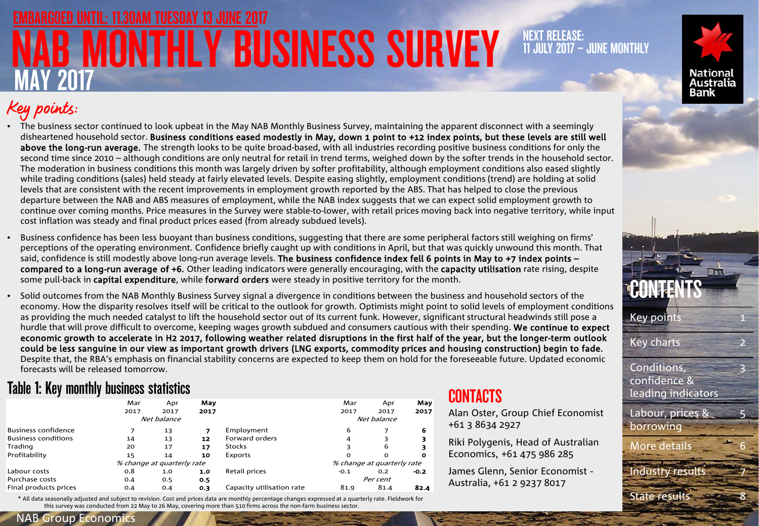## **MONTHLY BUSINESS SURVEY** MAY 2017 EMBARGOED UNTIL: 11.30AM TUESDAY 13 JUNE 2017

### NEXT RELEASE: 11 JULY 2017 – JUNE MONTHLY



## Key points:

• The business sector continued to look upbeat in the May NAB Monthly Business Survey, maintaining the apparent disconnect with a seemingly disheartened household sector. Business conditions eased modestly in May, down 1 point to +12 index points, but these levels are still well above the long-run average. The strength looks to be quite broad-based, with all industries recording positive business conditions for only the second time since 2010 – although conditions are only neutral for retail in trend terms, weighed down by the softer trends in the household sector. The moderation in business conditions this month was largely driven by softer profitability, although employment conditions also eased slightly while trading conditions (sales) held steady at fairly elevated levels. Despite easing slightly, employment conditions (trend) are holding at solid levels that are consistent with the recent improvements in employment growth reported by the ABS. That has helped to close the previous departure between the NAB and ABS measures of employment, while the NAB index suggests that we can expect solid employment growth to continue over coming months. Price measures in the Survey were stable-to-lower, with retail prices moving back into negative territory, while input cost inflation was steady and final product prices eased (from already subdued levels).

• Business confidence has been less buoyant than business conditions, suggesting that there are some peripheral factors still weighing on firms' perceptions of the operating environment. Confidence briefly caught up with conditions in April, but that was quickly unwound this month. That said, confidence is still modestly above long-run average levels. The business confidence index fell 6 points in May to +7 index points – compared to a long-run average of +6. Other leading indicators were generally encouraging, with the capacity utilisation rate rising, despite some pull-back in capital expenditure, while forward orders were steady in positive territory for the month.

• Solid outcomes from the NAB Monthly Business Survey signal a divergence in conditions between the business and household sectors of the economy. How the disparity resolves itself will be critical to the outlook for growth. Optimists might point to solid levels of employment conditions as providing the much needed catalyst to lift the household sector out of its current funk. However, significant structural headwinds still pose a hurdle that will prove difficult to overcome, keeping wages growth subdued and consumers cautious with their spending. We continue to expect economic growth to accelerate in H2 2017, following weather related disruptions in the first half of the year, but the longer-term outlook could be less sanguine in our view as important growth drivers (LNG exports, commodity prices and housing construction) begin to fade. Despite that, the RBA's emphasis on financial stability concerns are expected to keep them on hold for the foreseeable future. Updated economic forecasts will be released tomorrow.

### Table 1: Key monthly business statistics

|                            | Mar  | Apr                        | May  |                           | Mar                        | Apr      | May    |  |  |
|----------------------------|------|----------------------------|------|---------------------------|----------------------------|----------|--------|--|--|
|                            | 2017 | 2017                       | 2017 |                           | 2017                       | 2017     | 2017   |  |  |
|                            |      | Net balance                |      |                           | Net balance                |          |        |  |  |
| <b>Business confidence</b> |      | 13                         |      | Employment                | 6                          |          | 6      |  |  |
| <b>Business conditions</b> | 14   | 13                         | 12   | Forward orders            | 4                          |          |        |  |  |
| Trading                    | 20   | 17                         | 17   | <b>Stocks</b>             |                            | 6        |        |  |  |
| Profitability              | 15   | 14                         | 10   | Exports                   | O                          | $\Omega$ | o      |  |  |
|                            |      | % change at quarterly rate |      |                           | % change at quarterly rate |          |        |  |  |
| Labour costs               | 0.8  | 1.0                        | 1.0  | Retail prices             | $-0.1$                     | 0.2      | $-0.2$ |  |  |
| Purchase costs             | 0.4  | 0.5                        | 0.5  |                           | Per cent                   |          |        |  |  |
| Final products prices      | 0.4  | 0.4                        | 0.3  | Capacity utilisation rate | 81.9                       | 81.4     | 82.4   |  |  |
|                            |      |                            |      |                           |                            |          |        |  |  |

\* All data seasonally adjusted and subject to revision. Cost and prices data are monthly percentage changes expressed at a quarterly rate. Fieldwork for this survey was conducted from 22 May to 26 May, covering more than 510 firms across the non-farm business sector.

### **CONTACTS**

Alan Oster, Group Chief Economist +61 3 8634 2927

Riki Polygenis, Head of Australian Economics, +61 475 986 285

James Glenn, Senior Economist - Australia, +61 2 9237 8017



1

NAB Group Economics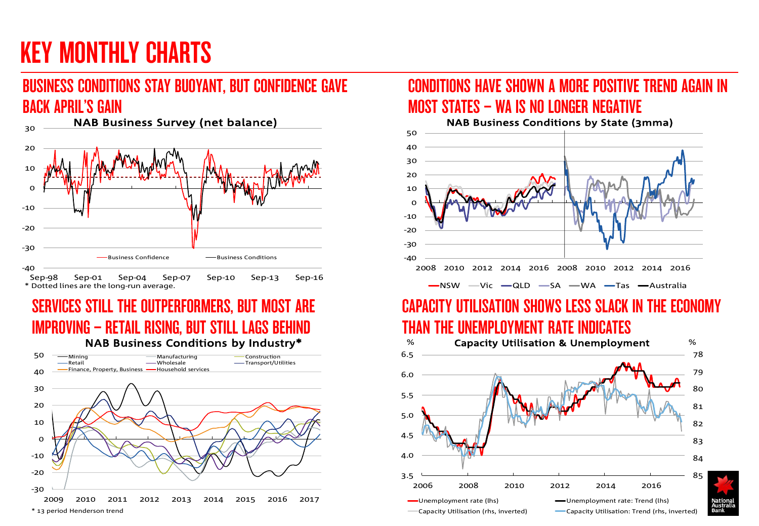# KEY MONTHLY CHARTS

## BUSINESS CONDITIONS STAY BUOYANT, BUT CONFIDENCE GAVE BACK APRIL'S GAIN



### SERVICES STILL THE OUTPERFORMERS, BUT MOST ARE IMPROVING – RETAIL RISING, BUT STILL LAGS BEHIND NAB Business Conditions by Industry\*



### CONDITIONS HAVE SHOWN A MORE POSITIVE TREND AGAIN IN MOST STATES – WA IS NO LONGER NEGATIVE



## CAPACITY UTILISATION SHOWS LESS SLACK IN THE ECONOMY THAN THE UNEMPLOYMENT RATE INDICATES

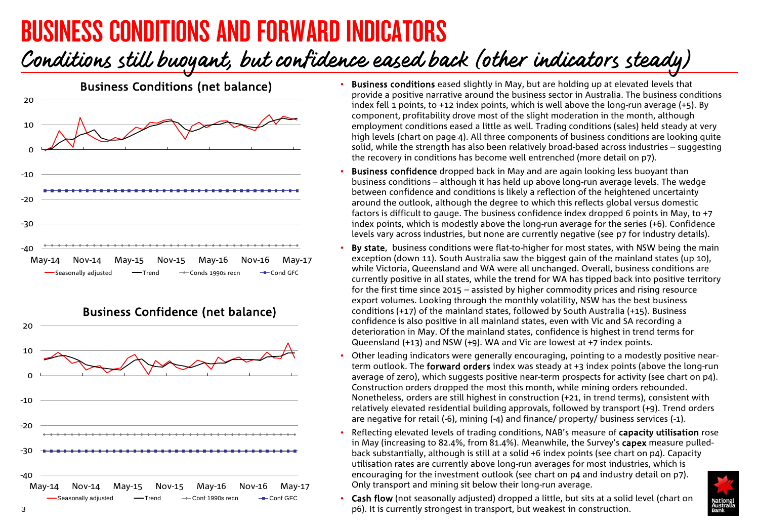# BUSINESS CONDITIONS AND FORWARD INDICATORS

## Conditions still buoyant, but confidence eased back (other indicators steady)





- Business conditions eased slightly in May, but are holding up at elevated levels that provide a positive narrative around the business sector in Australia. The business conditions index fell 1 points, to +12 index points, which is well above the long-run average (+5). By component, profitability drove most of the slight moderation in the month, although employment conditions eased a little as well. Trading conditions (sales) held steady at very high levels (chart on page 4). All three components of business conditions are looking quite solid, while the strength has also been relatively broad-based across industries – suggesting the recovery in conditions has become well entrenched (more detail on p7).
- **Business confidence** dropped back in May and are again looking less buoyant than business conditions – although it has held up above long-run average levels. The wedge between confidence and conditions is likely a reflection of the heightened uncertainty around the outlook, although the degree to which this reflects global versus domestic factors is difficult to gauge. The business confidence index dropped 6 points in May, to +7 index points, which is modestly above the long-run average for the series (+6). Confidence levels vary across industries, but none are currently negative (see p7 for industry details).
- By state, business conditions were flat-to-higher for most states, with NSW being the main exception (down 11). South Australia saw the biggest gain of the mainland states (up 10), while Victoria, Queensland and WA were all unchanged. Overall, business conditions are currently positive in all states, while the trend for WA has tipped back into positive territory for the first time since 2015 – assisted by higher commodity prices and rising resource export volumes. Looking through the monthly volatility, NSW has the best business conditions (+17) of the mainland states, followed by South Australia (+15). Business confidence is also positive in all mainland states, even with Vic and SA recording a deterioration in May. Of the mainland states, confidence is highest in trend terms for Queensland (+13) and NSW (+9). WA and Vic are lowest at +7 index points.
- Other leading indicators were generally encouraging, pointing to a modestly positive nearterm outlook. The forward orders index was steady at +3 index points (above the long-run average of zero), which suggests positive near-term prospects for activity (see chart on p4). Construction orders dropped the most this month, while mining orders rebounded. Nonetheless, orders are still highest in construction (+21, in trend terms), consistent with relatively elevated residential building approvals, followed by transport (+9). Trend orders are negative for retail (-6), mining (-4) and finance/ property/ business services (-1).
- Reflecting elevated levels of trading conditions, NAB's measure of capacity utilisation rose in May (increasing to 82.4%, from 81.4%). Meanwhile, the Survey's capex measure pulledback substantially, although is still at a solid +6 index points (see chart on p4). Capacity utilisation rates are currently above long-run averages for most industries, which is encouraging for the investment outlook (see chart on p4 and industry detail on p7). Only transport and mining sit below their long-run average.



• Cash flow (not seasonally adjusted) dropped a little, but sits at a solid level (chart on 3 p6). It is currently strongest in transport, but weakest in construction.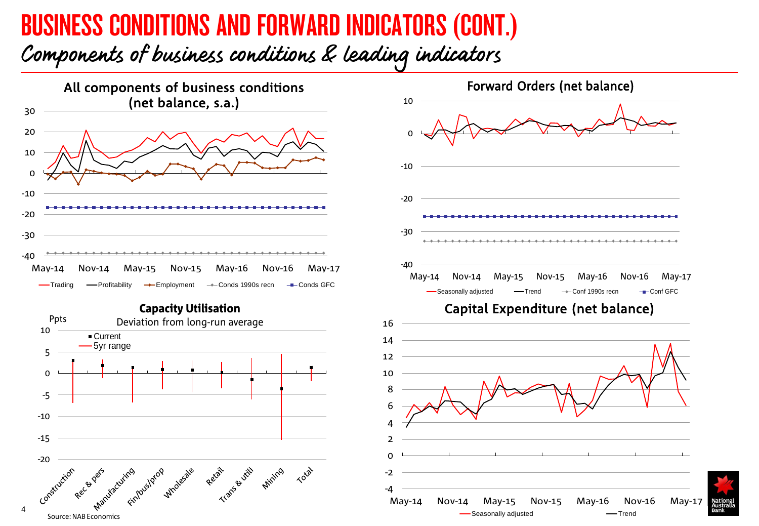# BUSINESS CONDITIONS AND FORWARD INDICATORS (CONT.)

Components of business conditions & leading indicators



Capacity Utilisation



4

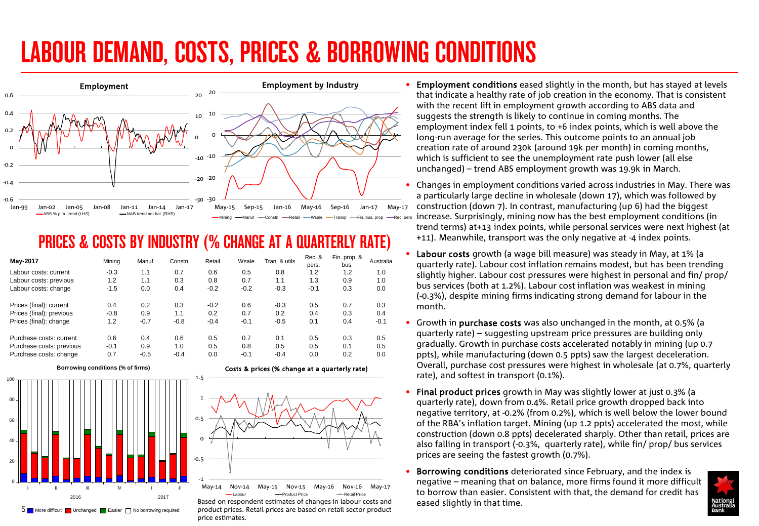# LABOUR DEMAND, COSTS, PRICES & BORROWING CONDITIONS



## PRICES & COSTS BY INDUSTRY (% CHANGE AT A QUARTERLY RATE)

| May-2017                 | Mining | Manuf  | Constn | Retail | Wsale  | Tran, & utils | Rec. &<br>pers. | Fin. prop. &<br>bus. | Australia |
|--------------------------|--------|--------|--------|--------|--------|---------------|-----------------|----------------------|-----------|
| Labour costs: current    | $-0.3$ | 1.1    | 0.7    | 0.6    | 0.5    | 0.8           | 1.2             | 1.2                  | 1.0       |
| Labour costs: previous   | 1.2    | 1.1    | 0.3    | 0.8    | 0.7    | 1.1           | 1.3             | 0.9                  | 1.0       |
| Labour costs: change     | $-1.5$ | 0.0    | 0.4    | $-0.2$ | $-0.2$ | $-0.3$        | $-0.1$          | 0.3                  | 0.0       |
| Prices (final): current  | 0.4    | 0.2    | 0.3    | $-0.2$ | 0.6    | $-0.3$        | 0.5             | 0.7                  | 0.3       |
| Prices (final): previous | $-0.8$ | 0.9    | 1.1    | 0.2    | 0.7    | 0.2           | 0.4             | 0.3                  | 0.4       |
| Prices (final): change   | 1.2    | $-0.7$ | $-0.8$ | $-0.4$ | $-0.1$ | $-0.5$        | 0.1             | 0.4                  | $-0.1$    |
| Purchase costs: current  | 0.6    | 0.4    | 0.6    | 0.5    | 0.7    | 0.1           | 0.5             | 0.3                  | 0.5       |
| Purchase costs: previous | $-0.1$ | 0.9    | 1.0    | 0.5    | 0.8    | 0.5           | 0.5             | 0.1                  | 0.5       |
| Purchase costs: change   | 0.7    | $-0.5$ | $-0.4$ | 0.0    | $-0.1$ | $-0.4$        | 0.0             | 0.2                  | 0.0       |

1.5



Costs & prices (% change at a quarterly rate)



eased on respondent estimates of changes in labour costs and and an eased slightly in that time.<br>In More difficult and the measure of that time. The borrowing required product prices. Retail prices are based on retail sec Based on respondent estimates of changes in labour costs and price estimates.

Employment conditions eased slightly in the month, but has stayed at levels that indicate a healthy rate of job creation in the economy. That is consistent with the recent lift in employment growth according to ABS data and suggests the strength is likely to continue in coming months. The employment index fell 1 points, to +6 index points, which is well above the long-run average for the series. This outcome points to an annual job creation rate of around 230k (around 19k per month) in coming months, which is sufficient to see the unemployment rate push lower (all else unchanged) – trend ABS employment growth was 19.9k in March.

• Changes in employment conditions varied across industries in May. There was a particularly large decline in wholesale (down 17), which was followed by construction (down 7). In contrast, manufacturing (up 6) had the biggest increase. Surprisingly, mining now has the best employment conditions (in trend terms) at+13 index points, while personal services were next highest (at +11). Meanwhile, transport was the only negative at -4 index points.

- Labour costs growth (a wage bill measure) was steady in May, at 1% (a quarterly rate). Labour cost inflation remains modest, but has been trending slightly higher. Labour cost pressures were highest in personal and fin/ prop/ bus services (both at 1.2%). Labour cost inflation was weakest in mining (-0.3%), despite mining firms indicating strong demand for labour in the month.
- Growth in purchase costs was also unchanged in the month, at 0.5% (a quarterly rate) – suggesting upstream price pressures are building only gradually. Growth in purchase costs accelerated notably in mining (up 0.7 ppts), while manufacturing (down 0.5 ppts) saw the largest deceleration. Overall, purchase cost pressures were highest in wholesale (at 0.7%, quarterly rate), and softest in transport (0.1%).
- Final product prices growth in May was slightly lower at just 0.3% (a quarterly rate), down from 0.4%. Retail price growth dropped back into negative territory, at -0.2% (from 0.2%), which is well below the lower bound of the RBA's inflation target. Mining (up 1.2 ppts) accelerated the most, while construction (down 0.8 ppts) decelerated sharply. Other than retail, prices are also falling in transport (-0.3%, quarterly rate), while fin/ prop/ bus services prices are seeing the fastest growth (0.7%).
- Borrowing conditions deteriorated since February, and the index is negative – meaning that on balance, more firms found it more difficult to borrow than easier. Consistent with that, the demand for credit has

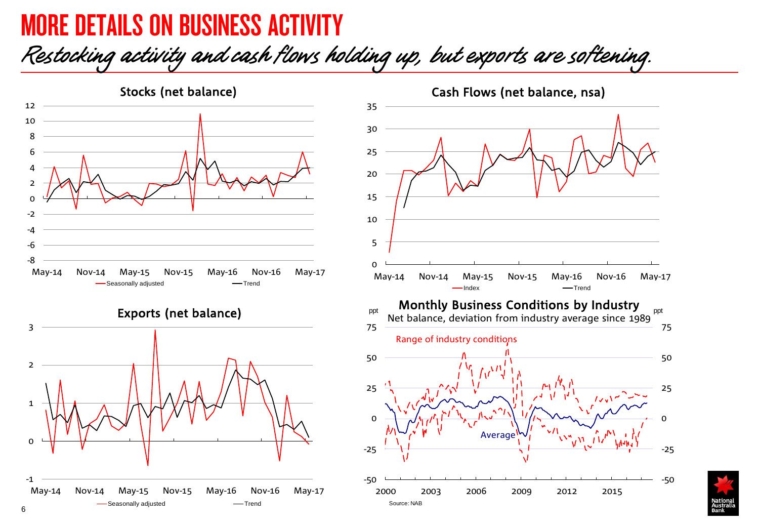## MORE DETAILS ON BUSINESS ACTIVITY

Restocking activity and cash flows holding up, but exports are softening.



Exports (net balance)



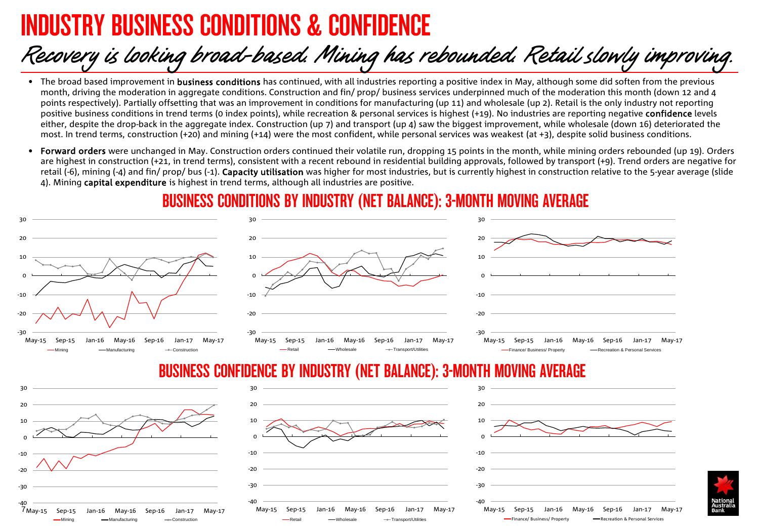## DUSTRY BUSINESS CONDITIONS & CONFIDEN

7 May-15 Sep-15 Jan-16 May-16 Sep-16 Jan-17 May-17

Mining Manufacturing Construction

## Recovery is looking broad-based. Mining has rebounded. Retail slowly improving.

- The broad based improvement in **business conditions** has continued, with all industries reporting a positive index in May, although some did soften from the previous month, driving the moderation in aggregate conditions. Construction and fin/ prop/ business services underpinned much of the moderation this month (down 12 and 4 points respectively). Partially offsetting that was an improvement in conditions for manufacturing (up 11) and wholesale (up 2). Retail is the only industry not reporting positive business conditions in trend terms (0 index points), while recreation & personal services is highest (+19). No industries are reporting negative confidence levels either, despite the drop-back in the aggregate index. Construction (up 7) and transport (up 4) saw the biggest improvement, while wholesale (down 16) deteriorated the most. In trend terms, construction (+20) and mining (+14) were the most confident, while personal services was weakest (at +3), despite solid business conditions.
- Forward orders were unchanged in May. Construction orders continued their volatile run, dropping 15 points in the month, while mining orders rebounded (up 19). Orders are highest in construction (+21, in trend terms), consistent with a recent rebound in residential building approvals, followed by transport (+9). Trend orders are negative for retail (-6), mining (-4) and fin/ prop/ bus (-1). Capacity utilisation was higher for most industries, but is currently highest in construction relative to the 5-year average (slide 4). Mining capital expenditure is highest in trend terms, although all industries are positive.

### BUSINESS CONDITIONS BY INDUSTRY (NET BALANCE): 3-MONTH MOVING AVERAGE



May-15 Sep-15 Jan-16 May-16 Sep-16 Jan-17 May-17 Retail -- Wholesale -- Transport/Utilities

May-15 Sep-15 Jan-16 May-16 Sep-16 Jan-17 May-17 Finance/ Business/ Property - Recreation & Personal Services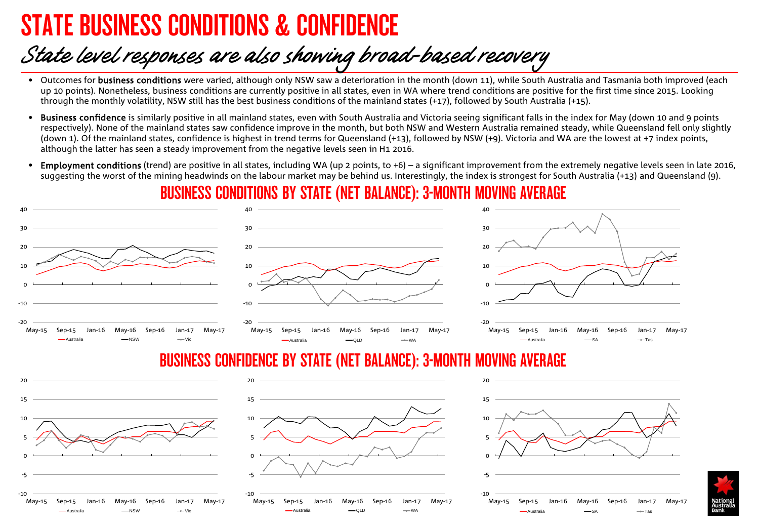## STATE BUSINESS CONDITIONS & CONFIDENCE

Australia NSW Vic

## State level responses are also showing broad-based recovery

- Outcomes for business conditions were varied, although only NSW saw a deterioration in the month (down 11), while South Australia and Tasmania both improved (each up 10 points). Nonetheless, business conditions are currently positive in all states, even in WA where trend conditions are positive for the first time since 2015. Looking through the monthly volatility, NSW still has the best business conditions of the mainland states (+17), followed by South Australia (+15).
- Business confidence is similarly positive in all mainland states, even with South Australia and Victoria seeing significant falls in the index for May (down 10 and 9 points respectivelv). None of the mainland states saw confidence improve in the month, but both NSW and Western Australia remained steady, while Queensland fell only slightly (down 1). Of the mainland states, confidence is highest in trend terms for Queensland (+13), followed by NSW (+9). Victoria and WA are the lowest at +7 index points, although the latter has seen a steady improvement from the negative levels seen in H1 2016.
- **Employment conditions** (trend) are positive in all states, including WA (up 2 points, to  $+6$ ) a significant improvement from the extremely negative levels seen in late 2016, suggesting the worst of the mining headwinds on the labour market may be behind us. Interestingly, the index is strongest for South Australia (+13) and Queensland (9).

## BUSINESS CONDITIONS BY STATE (NET BALANCE): 3-MONTH MOVING AVERAGE



Australia QLD WA

Australia SA Tas